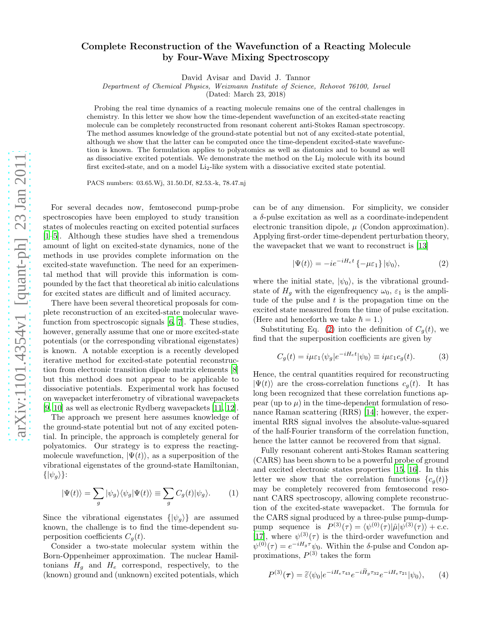## Complete Reconstruction of the Wavefunction of a Reacting Molecule by Four-Wave Mixing Spectroscopy

David Avisar and David J. Tannor

Department of Chemical Physics, Weizmann Institute of Science, Rehovot 76100, Israel

(Dated: March 23, 2018)

Probing the real time dynamics of a reacting molecule remains one of the central challenges in chemistry. In this letter we show how the time-dependent wavefunction of an excited-state reacting molecule can be completely reconstructed from resonant coherent anti-Stokes Raman spectroscopy. The method assumes knowledge of the ground-state potential but not of any excited-state potential, although we show that the latter can be computed once the time-dependent excited-state wavefunction is known. The formulation applies to polyatomics as well as diatomics and to bound as well as dissociative excited potentials. We demonstrate the method on the Li<sup>2</sup> molecule with its bound first excited-state, and on a model Li<sub>2</sub>-like system with a dissociative excited state potential.

PACS numbers: 03.65.Wj, 31.50.Df, 82.53.-k, 78.47.nj

For several decades now, femtosecond pump-probe spectroscopies have been employed to study transition states of molecules reacting on excited potential surfaces [\[1](#page-3-0)[–5\]](#page-3-1). Although these studies have shed a tremendous amount of light on excited-state dynamics, none of the methods in use provides complete information on the excited-state wavefunction. The need for an experimental method that will provide this information is compounded by the fact that theoretical ab initio calculations for excited states are difficult and of limited accuracy.

There have been several theoretical proposals for complete reconstruction of an excited-state molecular wavefunction from spectroscopic signals [\[6,](#page-3-2) [7\]](#page-3-3). These studies, however, generally assume that one or more excited-state potentials (or the corresponding vibrational eigenstates) is known. A notable exception is a recently developed iterative method for excited-state potential reconstruction from electronic transition dipole matrix elements [\[8](#page-3-4)] but this method does not appear to be applicable to dissociative potentials. Experimental work has focused on wavepacket interferometry of vibrational wavepackets [\[9,](#page-3-5) [10](#page-3-6)] as well as electronic Rydberg wavepackets [\[11](#page-3-7), [12\]](#page-3-8).

The approach we present here assumes knowledge of the ground-state potential but not of any excited potential. In principle, the approach is completely general for polyatomics. Our strategy is to express the reactingmolecule wavefunction,  $|\Psi(t)\rangle$ , as a superposition of the vibrational eigenstates of the ground-state Hamiltonian,  $\{|\psi_q\rangle\}$ :

<span id="page-0-3"></span>
$$
|\Psi(t)\rangle = \sum_{g} |\psi_{g}\rangle\langle\psi_{g}|\Psi(t)\rangle \equiv \sum_{g} C_{g}(t)|\psi_{g}\rangle.
$$
 (1)

Since the vibrational eigenstates  $\{|\psi_g\rangle\}$  are assumed known, the challenge is to find the time-dependent superposition coefficients  $C_g(t)$ .

Consider a two-state molecular system within the Born-Oppenheimer approximation. The nuclear Hamiltonians  $H<sub>g</sub>$  and  $H<sub>e</sub>$  correspond, respectively, to the (known) ground and (unknown) excited potentials, which

can be of any dimension. For simplicity, we consider a  $\delta$ -pulse excitation as well as a coordinate-independent electronic transition dipole,  $\mu$  (Condon approximation). Applying first-order time-dependent perturbation theory, the wavepacket that we want to reconstruct is [\[13](#page-3-9)]

<span id="page-0-0"></span>
$$
|\Psi(t)\rangle = -ie^{-iH_e t} \{-\mu \varepsilon_1\} |\psi_0\rangle,\tag{2}
$$

where the initial state,  $|\psi_0\rangle$ , is the vibrational groundstate of  $H<sub>g</sub>$  with the eigenfrequency  $\omega_0$ ,  $\varepsilon_1$  is the amplitude of the pulse and  $t$  is the propagation time on the excited state measured from the time of pulse excitation. (Here and henceforth we take  $\hbar = 1$ .)

Substituting Eq. [\(2\)](#page-0-0) into the definition of  $C_q(t)$ , we find that the superposition coefficients are given by

<span id="page-0-2"></span>
$$
C_g(t) = i\mu \varepsilon_1 \langle \psi_g | e^{-iH_e t} | \psi_0 \rangle \equiv i\mu \varepsilon_1 c_g(t). \tag{3}
$$

Hence, the central quantities required for reconstructing  $|\Psi(t)\rangle$  are the cross-correlation functions  $c_q(t)$ . It has long been recognized that these correlation functions appear (up to  $\mu$ ) in the time-dependent formulation of resonance Raman scattering (RRS) [\[14\]](#page-3-10); however, the experimental RRS signal involves the absolute-value-squared of the half-Fourier transform of the correlation function, hence the latter cannot be recovered from that signal.

Fully resonant coherent anti-Stokes Raman scattering (CARS) has been shown to be a powerful probe of ground and excited electronic states properties [\[15](#page-4-0), [16\]](#page-4-1). In this letter we show that the correlation functions  ${c_q(t)}$ may be completely recovered from femtosecond resonant CARS spectroscopy, allowing complete reconstruction of the excited-state wavepacket. The formula for the CARS signal produced by a three-pulse pump-dumppump sequence is  $P^{(3)}(\tau) = \langle \psi^{(0)}(\tau) | \hat{\mu} | \psi^{(3)}(\tau) \rangle + \text{c.c.}$ [\[17\]](#page-4-2), where  $\psi^{(3)}(\tau)$  is the third-order wavefunction and  $\psi^{(0)}(\tau) = e^{-iH_g \tau} \psi_0$ . Within the  $\delta$ -pulse and Condon approximations,  $P^{(3)}$  takes the form

<span id="page-0-1"></span>
$$
P^{(3)}(\tau) = \tilde{\varepsilon}\langle\psi_0|e^{-iH_e\tau_{43}}e^{-i\tilde{H}_g\tau_{32}}e^{-iH_e\tau_{21}}|\psi_0\rangle, \qquad (4)
$$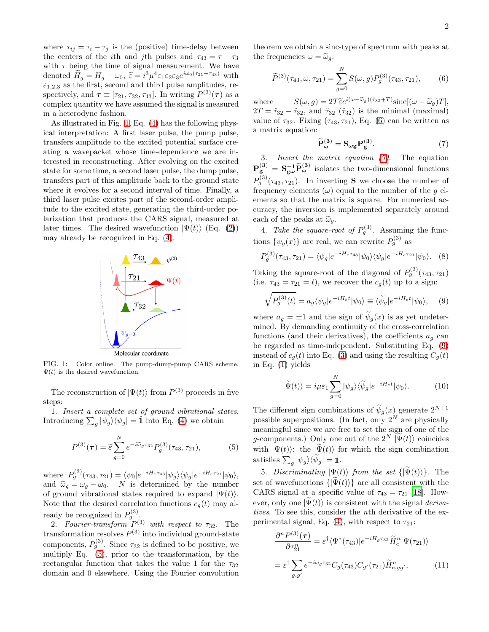where  $\tau_{ij} = \tau_i - \tau_j$  is the (positive) time-delay between the centers of the *i*th and *j*th pulses and  $\tau_{43} = \tau - \tau_3$ with  $\tau$  being the time of signal measurement. We have denoted  $H_g = H_g - \omega_0$ ,  $\tilde{\varepsilon} = i^3 \mu^4 \varepsilon_1 \varepsilon_2 \varepsilon_3 e^{i\omega_0 (\tau_{21} + \tau_{43})}$  with  $\varepsilon_{1,2,3}$  as the first, second and third pulse amplitudes, respectively, and  $\tau \equiv [\tau_{21}, \tau_{32}, \tau_{43}]$ . In writing  $P^{(3)}(\tau)$  as a complex quantity we have assumed the signal is measured in a heterodyne fashion.

As illustrated in Fig. [1,](#page-1-0) Eq. [\(4\)](#page-0-1) has the following physical interpretation: A first laser pulse, the pump pulse, transfers amplitude to the excited potential surface creating a wavepacket whose time-dependence we are interested in reconstructing. After evolving on the excited state for some time, a second laser pulse, the dump pulse, transfers part of this amplitude back to the ground state where it evolves for a second interval of time. Finally, a third laser pulse excites part of the second-order amplitude to the excited state, generating the third-order polarization that produces the CARS signal, measured at later times. The desired wavefunction  $|\Psi(t)\rangle$  (Eq. [\(2\)](#page-0-0)) may already be recognized in Eq. [\(4\)](#page-0-1).



<span id="page-1-0"></span>FIG. 1: Color online. The pump-dump-pump CARS scheme.  $\Psi(t)$  is the desired wavefunction.

The reconstruction of  $|\Psi(t)\rangle$  from  $P^{(3)}$  proceeds in five steps:

1. Insert a complete set of ground vibrational states. Introducing  $\sum_g |\psi_g\rangle\langle\psi_g| = \hat{\mathbf{1}}$  into Eq. [\(4\)](#page-0-1) we obtain

<span id="page-1-1"></span>
$$
P^{(3)}(\tau) = \tilde{\varepsilon} \sum_{g=0}^{N} e^{-i\tilde{\omega}_g \tau_{32}} P_g^{(3)}(\tau_{43}, \tau_{21}), \tag{5}
$$

where  $P_g^{(3)}(\tau_{43}, \tau_{21}) = \langle \psi_0 | e^{-iH_e \tau_{43}} | \psi_g \rangle \langle \psi_g | e^{-iH_e \tau_{21}} | \psi_0 \rangle,$ and  $\widetilde{\omega}_g = \omega_g - \omega_0$ . N is determined by the number of ground vibrational states required to expand  $|\Psi(t)\rangle$ . Note that the desired correlation functions  $c_g(t)$  may already be recognized in  $P_g^{(3)}$ .

2. Fourier-transform  $P^{(3)}$  with respect to  $\tau_{32}$ . The transformation resolves  $P^{(3)}$  into individual ground-state components,  $P_g^{(3)}$ . Since  $\tau_{32}$  is defined to be positive, we multiply Eq. [\(5\)](#page-1-1), prior to the transformation, by the rectangular function that takes the value 1 for the  $\tau_{32}$ domain and 0 elsewhere. Using the Fourier convolution theorem we obtain a sinc-type of spectrum with peaks at the frequencies  $\omega = \tilde{\omega}_q$ :

<span id="page-1-2"></span>
$$
\widetilde{P}^{(3)}(\tau_{43}, \omega, \tau_{21}) = \sum_{g=0}^{N} S(\omega, g) P_g^{(3)}(\tau_{43}, \tau_{21}), \qquad (6)
$$

where  $S(\omega, g) = 2T \widetilde{\epsilon} e^{i(\omega - \widetilde{\omega}_g)(\widetilde{\tau}_{32} + T)} \text{sinc}[(\omega - \widetilde{\omega}_g)T],$  $2T = \hat{\tau}_{32} - \check{\tau}_{32}$ , and  $\check{\tau}_{32}$  ( $\hat{\tau}_{32}$ ) is the minimal (maximal) value of  $\tau_{32}$ . Fixing  $(\tau_{43}, \tau_{21})$ , Eq. [\(6\)](#page-1-2) can be written as a matrix equation:

<span id="page-1-3"></span>
$$
\widetilde{\mathbf{P}}_{\omega}^{(3)} = \mathbf{S}_{\omega g} \mathbf{P}_g^{(3)}.
$$
\n(7)

3. Invert the matrix equation [\(7\)](#page-1-3). The equation  $P_g^{(3)} = S_{g\omega}^{-1} \tilde{P}_{\omega}^{(3)}$  isolates the two-dimensional functions  $P_g^{(3)}(\tau_{43},\tau_{21})$ . In inverting **S** we choose the number of frequency elements  $(\omega)$  equal to the number of the g elements so that the matrix is square. For numerical accuracy, the inversion is implemented separately around each of the peaks at  $\tilde{\omega}_q$ .

4. Take the square-root of  $P_g^{(3)}$ . Assuming the functions  $\{\psi_g(x)\}\)$  are real, we can rewrite  $P_g^{(3)}$  as

$$
P_g^{(3)}(\tau_{43}, \tau_{21}) = \langle \psi_g | e^{-iH_e \tau_{43}} | \psi_0 \rangle \langle \psi_g | e^{-iH_e \tau_{21}} | \psi_0 \rangle. \tag{8}
$$

Taking the square-root of the diagonal of  $P_g^{(3)}(\tau_{43},\tau_{21})$ (i.e.  $\tau_{43} = \tau_{21} = t$ ), we recover the  $c_q(t)$  up to a sign:

<span id="page-1-4"></span>
$$
\sqrt{P_g^{(3)}(t)} = a_g \langle \psi_g | e^{-iH_e t} | \psi_0 \rangle \equiv \langle \widetilde{\psi}_g | e^{-iH_e t} | \psi_0 \rangle, \quad (9)
$$

where  $a_q = \pm 1$  and the sign of  $\psi_q(x)$  is as yet undetermined. By demanding continuity of the cross-correlation functions (and their derivatives), the coefficients  $a<sub>q</sub>$  can be regarded as time-independent. Substituting Eq. [\(9\)](#page-1-4) instead of  $c_g(t)$  into Eq. [\(3\)](#page-0-2) and using the resulting  $C_g(t)$ in Eq. [\(1\)](#page-0-3) yields

$$
|\widetilde{\Psi}(t)\rangle = i\mu\varepsilon_1 \sum_{g=0}^{N} |\psi_g\rangle \langle \widetilde{\psi}_g| e^{-iH_e t} |\psi_0\rangle.
$$
 (10)

The different sign combinations of  $\widetilde{\psi}_g(x)$  generate  $2^{N+1}$ possible superpositions. (In fact, only  $2^N$  are physically meaningful since we are free to set the sign of one of the g-components.) Only one out of the  $2^N |\tilde{\Psi}(t)\rangle$  coincides with  $|\Psi(t)\rangle$ : the  $|\tilde{\Psi}(t)\rangle$  for which the sign combination satisfies  $\sum_g |\psi_g\rangle\langle \widetilde{\psi}_g| = \mathbb{1}$ .

5. Discriminating  $|\Psi(t)\rangle$  from the set  $\{|\Psi(t)\rangle\}$ . The set of wavefunctions  $\{|\Psi(t)\rangle\}$  are all consistent with the CARS signal at a specific value of  $\tau_{43} = \tau_{21}$  [\[18\]](#page-4-3). However, only one  $|\Psi(t)\rangle$  is consistent with the signal *deriva*tives. To see this, consider the nth derivative of the ex-perimental signal, Eq. [\(4\)](#page-0-1), with respect to  $\tau_{21}$ :

<span id="page-1-5"></span>
$$
\frac{\partial^n P^{(3)}(\tau)}{\partial \tau_{21}^n} = \varepsilon^{\dagger} \langle \Psi^*(\tau_{43}) | e^{-iH_g \tau_{32}} \tilde{H}_e^n | \Psi(\tau_{21}) \rangle
$$

$$
= \varepsilon^{\dagger} \sum_{g,g'} e^{-i\omega_g \tau_{32}} C_g(\tau_{43}) C_{g'}(\tau_{21}) \tilde{H}_{e,gg'}^n, \tag{11}
$$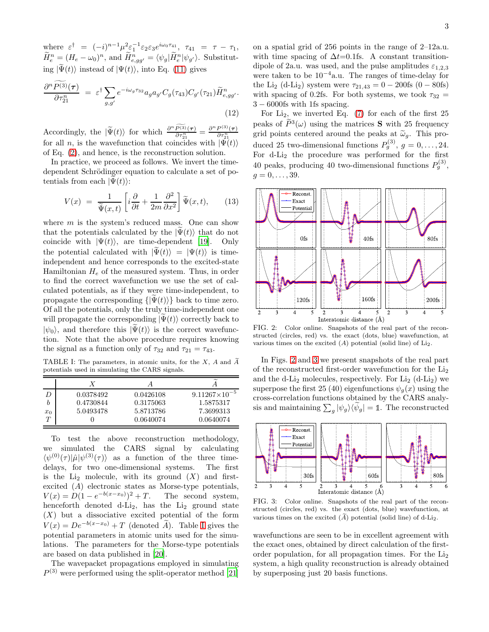where  $\varepsilon^{\dagger} = (-i)^{n-1} \mu^2 \varepsilon_1^{-1} \varepsilon_2 \varepsilon_3 e^{i\omega_0 \tau_{41}}, \tau_{41} = \tau - \tau_1$ ,  $\widetilde{H}_{e}^{n} = (H_{e} - \omega_{0})^{n}$ , and  $\widetilde{H}_{e,gg'}^{n} = \langle \psi_{g} | \widetilde{H}_{e}^{n} | \psi_{g'} \rangle$ . Substituting  $|\tilde{\Psi}(t)\rangle$  instead of  $|\Psi(t)\rangle$ , into Eq. [\(11\)](#page-1-5) gives

$$
\frac{\partial^n P^{(3)}(\tau)}{\partial \tau_{21}^n} = \varepsilon^\dagger \sum_{g,g'} e^{-i\omega_g \tau_{32}} a_g a_{g'} C_g(\tau_{43}) C_{g'}(\tau_{21}) \widetilde{H}_{e,gg'}^n.
$$
\n(12)

Accordingly, the  $|\widetilde{\Psi}(t)\rangle$  for which  $\frac{\partial^n \widetilde{P^{(3)}}(\tau)}{\partial \tau_{21}^n}$  $\partial\tau_{21}^n$ =  $\partial^n P^{(3)}(\boldsymbol{\tau})$  $\overline{\partial \tau_{21}^n}$ for all *n*, is the wavefunction that coincides with  $|\Psi(t)\rangle$ of Eq. [\(2\)](#page-0-0), and hence, is the reconstruction solution.

In practice, we proceed as follows. We invert the timedependent Schrödinger equation to calculate a set of potentials from each  $|\Psi(t)\rangle$ :

<span id="page-2-3"></span>
$$
V(x) = \frac{1}{\tilde{\Psi}(x,t)} \left[ i \frac{\partial}{\partial t} + \frac{1}{2m} \frac{\partial^2}{\partial x^2} \right] \tilde{\Psi}(x,t), \qquad (13)
$$

where  $m$  is the system's reduced mass. One can show that the potentials calculated by the  $|\Psi(t)\rangle$  that do not coincide with  $|\Psi(t)\rangle$ , are time-dependent [\[19](#page-4-4)]. Only the potential calculated with  $|\Psi(t)\rangle = |\Psi(t)\rangle$  is timeindependent and hence corresponds to the excited-state Hamiltonian  $H_e$  of the measured system. Thus, in order to find the correct wavefunction we use the set of calculated potentials, as if they were time-independent, to propagate the corresponding  $\{|\Psi(t)\rangle\}$  back to time zero. Of all the potentials, only the truly time-independent one will propagate the corresponding  $|\Psi(t)\rangle$  correctly back to  $|\psi_0\rangle$ , and therefore this  $|\tilde{\Psi}(t)\rangle$  is the correct wavefunction. Note that the above procedure requires knowing the signal as a function only of  $\tau_{32}$  and  $\tau_{21} = \tau_{43}$ .

<span id="page-2-0"></span>TABLE I: The parameters, in atomic units, for the  $X$ ,  $A$  and  $\tilde{A}$ potentials used in simulating the CARS signals.

|       | Х         |           |                        |
|-------|-----------|-----------|------------------------|
|       | 0.0378492 | 0.0426108 | $9.11267\times10^{-5}$ |
|       | 0.4730844 | 0.3175063 | 1.5875317              |
| $x_0$ | 5.0493478 | 5.8713786 | 7.3699313              |
|       |           | 0.0640074 | 0.0640074              |

To test the above reconstruction methodology, we simulated the CARS signal by calculating  $\langle \psi^{(0)}(\tau) | \hat{\mu} | \psi^{(3)}(\tau) \rangle$  as a function of the three timedelays, for two one-dimensional systems. The first is the  $Li<sub>2</sub>$  molecule, with its ground  $(X)$  and firstexcited (A) electronic states as Morse-type potentials,  $V(x) = D(1 - e^{-b(x-x_0)})$ The second system, henceforth denoted  $d-Li_2$ , has the  $Li_2$  ground state  $(X)$  but a dissociative excited potential of the form  $V(x) = De^{-b(x-x_0)} + T$  (denoted A). Table [I](#page-2-0) gives the potential parameters in atomic units used for the simulations. The parameters for the Morse-type potentials are based on data published in [\[20](#page-4-5)].

The wavepacket propagations employed in simulating  $P<sup>(3)</sup>$  were performed using the split-operator method [\[21](#page-4-6)]

on a spatial grid of 256 points in the range of 2–12a.u. with time spacing of  $\Delta t=0.1$ fs. A constant transitiondipole of 2a.u. was used, and the pulse amplitudes  $\varepsilon_{1,2,3}$ were taken to be  $10^{-4}$ a.u. The ranges of time-delay for the Li<sub>2</sub> (d-Li<sub>2</sub>) system were  $\tau_{21,43} = 0 - 200$ fs (0 – 80fs) with spacing of 0.2fs. For both systems, we took  $\tau_{32} =$ 3 − 6000fs with 1fs spacing.

For  $Li_2$ , we inverted Eq. [\(7\)](#page-1-3) for each of the first 25 peaks of  $P^3(\omega)$  using the matrices **S** with 25 frequency grid points centered around the peaks at  $\tilde{\omega}_q$ . This produced 25 two-dimensional functions  $P_g^{(3)}$ ,  $g = 0, \ldots, 24$ . For d-Li<sup>2</sup> the procedure was performed for the first 40 peaks, producing 40 two-dimensional functions  $P_g^{(3)}$ ,  $q = 0, \ldots, 39.$ 



<span id="page-2-1"></span>FIG. 2: Color online. Snapshots of the real part of the reconstructed (circles, red) vs. the exact (dots, blue) wavefunction, at various times on the excited  $(A)$  potential (solid line) of Li<sub>2</sub>.

In Figs. [2](#page-2-1) and [3](#page-2-2) we present snapshots of the real part of the reconstructed first-order wavefunction for the Li<sup>2</sup> and the d-Li<sub>2</sub> molecules, respectively. For Li<sub>2</sub> (d-Li<sub>2</sub>) we superpose the first 25 (40) eigenfunctions  $\psi_q(x)$  using the cross-correlation functions obtained by the CARS analysis and maintaining  $\sum_{g} |\psi_{g}\rangle\langle \widetilde{\psi}_{g}| = \mathbb{1}$ . The reconstructed



<span id="page-2-2"></span>FIG. 3: Color online. Snapshots of the real part of the reconstructed (circles, red) vs. the exact (dots, blue) wavefunction, at various times on the excited  $(\tilde{A})$  potential (solid line) of d-Li<sub>2</sub>.

wavefunctions are seen to be in excellent agreement with the exact ones, obtained by direct calculation of the firstorder population, for all propagation times. For the Li<sup>2</sup> system, a high quality reconstruction is already obtained by superposing just 20 basis functions.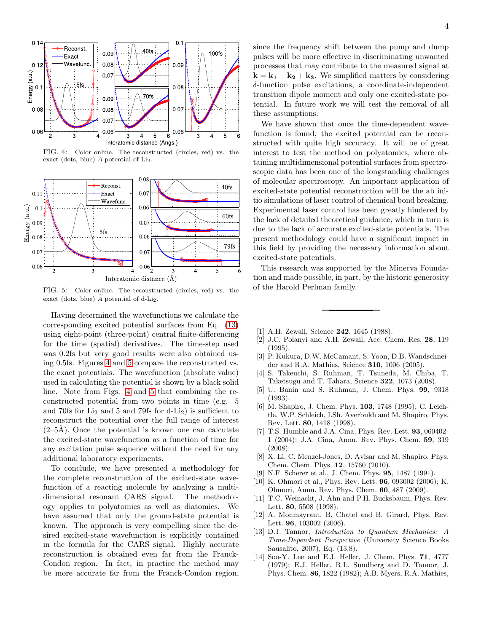

<span id="page-3-11"></span>FIG. 4: Color online. The reconstructed (circles, red) vs. the exact (dots, blue)  $A$  potential of  $Li<sub>2</sub>$ .



<span id="page-3-12"></span>FIG. 5: Color online. The reconstructed (circles, red) vs. the exact (dots, blue)  $\widetilde{A}$  potential of d-Li<sub>2</sub>.

Having determined the wavefunctions we calculate the corresponding excited potential surfaces from Eq. [\(13\)](#page-2-3) using eight-point (three-point) central finite-differencing for the time (spatial) derivatives. The time-step used was 0.2fs but very good results were also obtained using 0.5fs. Figures [4](#page-3-11) and [5](#page-3-12) compare the reconstructed vs. the exact potentials. The wavefunction (absolute value) used in calculating the potential is shown by a black solid line. Note from Figs. [4](#page-3-11) and [5](#page-3-12) that combining the reconstructed potential from two points in time (e.g. 5 and 70fs for  $Li<sub>2</sub>$  and 5 and 79fs for d- $Li<sub>2</sub>$ ) is sufficient to reconstruct the potential over the full range of interest  $(2-5\text{\AA})$ . Once the potential is known one can calculate the excited-state wavefunction as a function of time for any excitation pulse sequence without the need for any additional laboratory experiments.

To conclude, we have presented a methodology for the complete reconstruction of the excited-state wavefunction of a reacting molecule by analyzing a multidimensional resonant CARS signal. The methodology applies to polyatomics as well as diatomics. We have assumed that only the ground-state potential is known. The approach is very compelling since the desired excited-state wavefunction is explicitly contained in the formula for the CARS signal. Highly accurate reconstruction is obtained even far from the Franck-Condon region. In fact, in practice the method may be more accurate far from the Franck-Condon region, since the frequency shift between the pump and dump pulses will be more effective in discriminating unwanted processes that may contribute to the measured signal at  $k = k_1 - k_2 + k_3$ . We simplified matters by considering δ-function pulse excitations, a coordinate-independent transition dipole moment and only one excited-state potential. In future work we will test the removal of all these assumptions.

We have shown that once the time-dependent wavefunction is found, the excited potential can be reconstructed with quite high accuracy. It will be of great interest to test the method on polyatomics, where obtaining multidimensional potential surfaces from spectroscopic data has been one of the longstanding challenges of molecular spectroscopy. An important application of excited-state potential reconstruction will be the ab initio simulations of laser control of chemical bond breaking. Experimental laser control has been greatly hindered by the lack of detailed theoretical guidance, which in turn is due to the lack of accurate excited-state potentials. The present methodology could have a significant impact in this field by providing the necessary information about excited-state potentials.

This research was supported by the Minerva Foundation and made possible, in part, by the historic generosity of the Harold Perlman family.

- <span id="page-3-0"></span>[1] A.H. Zewail, Science 242, 1645 (1988).
- [2] J.C. Polanyi and A.H. Zewail, Acc. Chem. Res. 28, 119 (1995).
- [3] P. Kukura, D.W. McCamant, S. Yoon, D.B. Wandschneider and R.A. Mathies, Science 310, 1006 (2005).
- [4] S. Takeuchi, S. Ruhman, T. Tsuneda, M. Chiba, T. Taketsugu and T. Tahara, Science 322, 1073 (2008).
- <span id="page-3-1"></span>[5] U. Banin and S. Ruhman, J. Chem. Phys. 99, 9318 (1993).
- <span id="page-3-2"></span>[6] M. Shapiro, J. Chem. Phys. **103**, 1748 (1995); C. Leichtle, W.P. Schleich, I.Sh. Averbukh and M. Shapiro, Phys. Rev. Lett. 80, 1418 (1998).
- <span id="page-3-3"></span>[7] T.S. Humble and J.A. Cina, Phys. Rev. Lett. 93, 060402- 1 (2004); J.A. Cina, Annu. Rev. Phys. Chem. 59, 319 (2008).
- <span id="page-3-4"></span>[8] X. Li, C. Menzel-Jones, D. Avisar and M. Shapiro, Phys. Chem. Chem. Phys. 12, 15760 (2010).
- <span id="page-3-5"></span>[9] N.F. Scherer et al., J. Chem. Phys. 95, 1487 (1991).
- <span id="page-3-6"></span>[10] K. Ohmori et al., Phys. Rev. Lett. 96, 093002 (2006); K. Ohmori, Annu. Rev. Phys. Chem. 60, 487 (2009).
- <span id="page-3-7"></span>[11] T.C. Weinacht, J. Ahn and P.H. Bucksbaum, Phys. Rev. Lett. 80, 5508 (1998).
- <span id="page-3-8"></span>[12] A. Monmayrant, B. Chatel and B. Girard, Phys. Rev. Lett. **96**, 103002 (2006).
- <span id="page-3-9"></span>[13] D.J. Tannor, Introduction to Quantum Mechanics: A Time-Dependent Perspective (University Science Books Sausalito, 2007), Eq. (13.8).
- <span id="page-3-10"></span>[14] Soo-Y. Lee and E.J. Heller, J. Chem. Phys. 71, 4777 (1979); E.J. Heller, R.L. Sundberg and D. Tannor, J. Phys. Chem. 86, 1822 (1982); A.B. Myers, R.A. Mathies,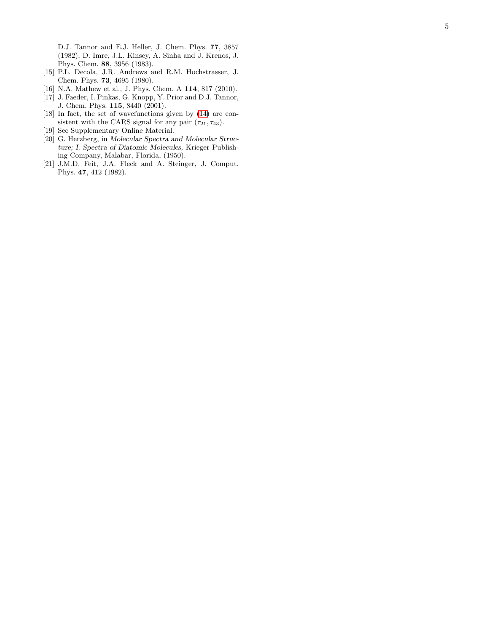D.J. Tannor and E.J. Heller, J. Chem. Phys. 77, 3857 (1982); D. Imre, J.L. Kinsey, A. Sinha and J. Krenos, J. Phys. Chem. 88, 3956 (1983).

- <span id="page-4-0"></span>[15] P.L. Decola, J.R. Andrews and R.M. Hochstrasser, J. Chem. Phys. 73, 4695 (1980).
- <span id="page-4-1"></span>[16] N.A. Mathew et al., J. Phys. Chem. A 114, 817 (2010).
- <span id="page-4-2"></span>[17] J. Faeder, I. Pinkas, G. Knopp, Y. Prior and D.J. Tannor, J. Chem. Phys. 115, 8440 (2001).
- <span id="page-4-3"></span>[18] In fact, the set of wavefunctions given by [\(14\)](#page-5-0) are consistent with the CARS signal for any pair  $(\tau_{21}, \tau_{43})$ .
- <span id="page-4-4"></span>[19] See Supplementary Online Material.
- <span id="page-4-5"></span>[20] G. Herzberg, in Molecular Spectra and Molecular Structure; I. Spectra of Diatomic Molecules, Krieger Publishing Company, Malabar, Florida, (1950).
- <span id="page-4-6"></span>[21] J.M.D. Feit, J.A. Fleck and A. Steinger, J. Comput. Phys. 47, 412 (1982).